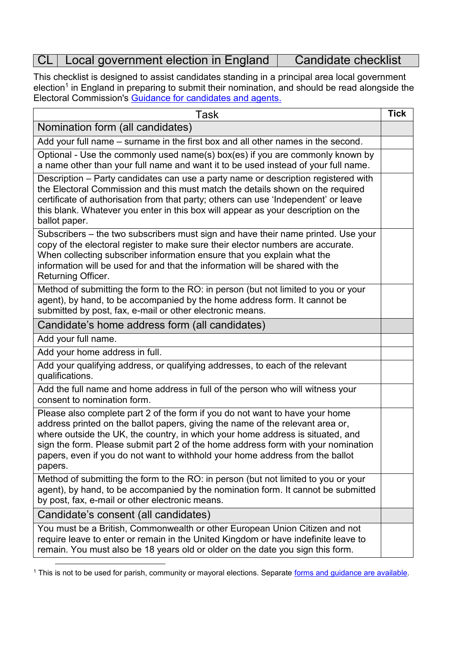## CL | Local government election in England | Candidate checklist

This checklist is designed to assist candidates standing in a principal area local government election<sup>1</sup> in England in preparing to submit their nomination, and should be read alongside the Electoral Commission's [Guidance for candidates and agents.](http://www.electoralcommission.org.uk/guidance/resources-for-those-we-regulate/candidates-and-agents/local-elections-in-england-and-wales)

| <b>Task</b>                                                                                                                                                                                                                                                                                                                                                                                                                       | <b>Tick</b> |
|-----------------------------------------------------------------------------------------------------------------------------------------------------------------------------------------------------------------------------------------------------------------------------------------------------------------------------------------------------------------------------------------------------------------------------------|-------------|
| Nomination form (all candidates)                                                                                                                                                                                                                                                                                                                                                                                                  |             |
| Add your full name - surname in the first box and all other names in the second.                                                                                                                                                                                                                                                                                                                                                  |             |
| Optional - Use the commonly used name(s) box(es) if you are commonly known by<br>a name other than your full name and want it to be used instead of your full name.                                                                                                                                                                                                                                                               |             |
| Description – Party candidates can use a party name or description registered with<br>the Electoral Commission and this must match the details shown on the required<br>certificate of authorisation from that party; others can use 'Independent' or leave<br>this blank. Whatever you enter in this box will appear as your description on the<br>ballot paper.                                                                 |             |
| Subscribers – the two subscribers must sign and have their name printed. Use your<br>copy of the electoral register to make sure their elector numbers are accurate.<br>When collecting subscriber information ensure that you explain what the<br>information will be used for and that the information will be shared with the<br>Returning Officer.                                                                            |             |
| Method of submitting the form to the RO: in person (but not limited to you or your<br>agent), by hand, to be accompanied by the home address form. It cannot be<br>submitted by post, fax, e-mail or other electronic means.                                                                                                                                                                                                      |             |
| Candidate's home address form (all candidates)                                                                                                                                                                                                                                                                                                                                                                                    |             |
| Add your full name.                                                                                                                                                                                                                                                                                                                                                                                                               |             |
| Add your home address in full.                                                                                                                                                                                                                                                                                                                                                                                                    |             |
| Add your qualifying address, or qualifying addresses, to each of the relevant<br>qualifications.                                                                                                                                                                                                                                                                                                                                  |             |
| Add the full name and home address in full of the person who will witness your<br>consent to nomination form.                                                                                                                                                                                                                                                                                                                     |             |
| Please also complete part 2 of the form if you do not want to have your home<br>address printed on the ballot papers, giving the name of the relevant area or,<br>where outside the UK, the country, in which your home address is situated, and<br>sign the form. Please submit part 2 of the home address form with your nomination<br>papers, even if you do not want to withhold your home address from the ballot<br>papers. |             |
| Method of submitting the form to the RO: in person (but not limited to you or your<br>agent), by hand, to be accompanied by the nomination form. It cannot be submitted<br>by post, fax, e-mail or other electronic means.                                                                                                                                                                                                        |             |
| Candidate's consent (all candidates)                                                                                                                                                                                                                                                                                                                                                                                              |             |
| You must be a British, Commonwealth or other European Union Citizen and not<br>require leave to enter or remain in the United Kingdom or have indefinite leave to<br>remain. You must also be 18 years old or older on the date you sign this form.                                                                                                                                                                               |             |

<sup>&</sup>lt;sup>1</sup> This is not to be used for parish, community or mayoral elections. Separate [forms and guidance are available.](http://www.electoralcommission.org.uk/guidance/resources-for-those-we-regulate/candidates-and-agents/parish-community-elections-england-wales)